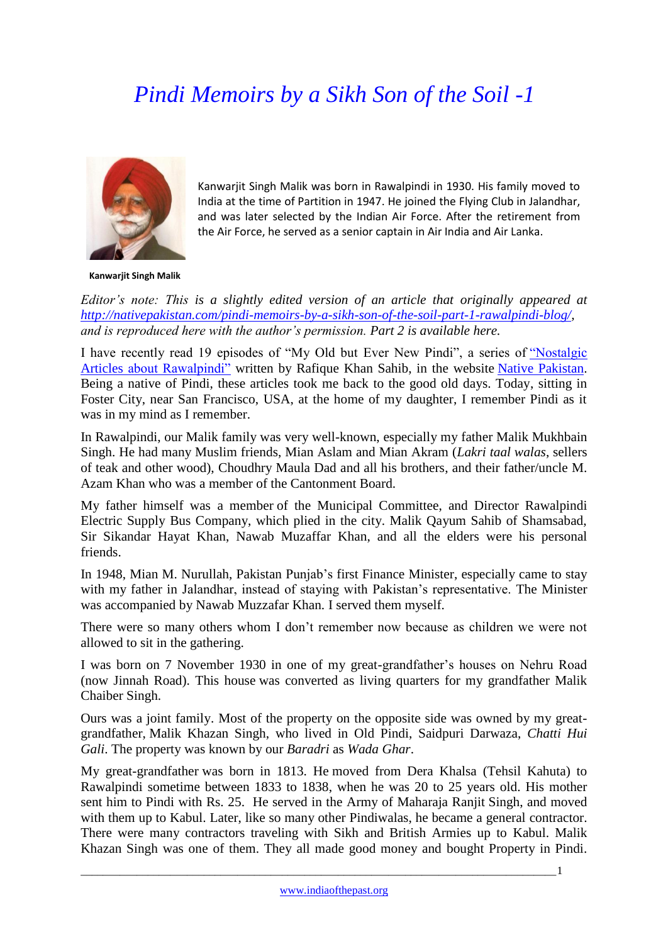## *Pindi Memoirs by a Sikh Son of the Soil -1*



Kanwarjit Singh Malik was born in Rawalpindi in 1930. His family moved to India at the time of Partition in 1947. He joined the Flying Club in Jalandhar, and was later selected by the Indian Air Force. After the retirement from the Air Force, he served as a senior captain in Air India and Air Lanka.

**Kanwarjit Singh Malik**

*Editor's note: This is a slightly edited version of an article that originally appeared at [http://nativepakistan.com/pindi-memoirs-by-a-sikh-son-of-the-soil-part-1-rawalpindi-blog/,](http://nativepakistan.com/pindi-memoirs-by-a-sikh-son-of-the-soil-part-1-rawalpindi-blog/) and is reproduced here with the author's permission. Part 2 is available here.* 

I have recently read 19 episodes of "My Old but Ever New Pindi", a series of ["Nostalgic](http://nativepakistan.com/nostalgic-articles-about-rawalpindi/)  Articles [about Rawalpindi"](http://nativepakistan.com/nostalgic-articles-about-rawalpindi/) written by Rafique Khan Sahib, in the website [Native Pakistan.](http://nativepakistan.com/) Being a native of Pindi, these articles took me back to the good old days. Today, sitting in Foster City, near San Francisco, USA, at the home of my daughter, I remember Pindi as it was in my mind as I remember.

In Rawalpindi, our Malik family was very well-known, especially my father Malik Mukhbain Singh. He had many Muslim friends, Mian Aslam and Mian Akram (*Lakri taal walas*, sellers of teak and other wood), Choudhry Maula Dad and all his brothers, and their father/uncle M. Azam Khan who was a member of the Cantonment Board.

My father himself was a member of the Municipal Committee, and Director Rawalpindi Electric Supply Bus Company, which plied in the city. Malik Qayum Sahib of Shamsabad, Sir Sikandar Hayat Khan, Nawab Muzaffar Khan, and all the elders were his personal friends.

In 1948, Mian M. Nurullah, Pakistan Punjab's first Finance Minister, especially came to stay with my father in Jalandhar, instead of staying with Pakistan's representative. The Minister was accompanied by Nawab Muzzafar Khan. I served them myself.

There were so many others whom I don't remember now because as children we were not allowed to sit in the gathering.

I was born on 7 November 1930 in one of my great-grandfather's houses on Nehru Road (now Jinnah Road). This house was converted as living quarters for my grandfather Malik Chaiber Singh.

Ours was a joint family. Most of the property on the opposite side was owned by my greatgrandfather, Malik Khazan Singh, who lived in Old Pindi, Saidpuri Darwaza, *Chatti Hui Gali*. The property was known by our *Baradri* as *Wada Ghar*.

My great-grandfather was born in 1813. He moved from Dera Khalsa (Tehsil Kahuta) to Rawalpindi sometime between 1833 to 1838, when he was 20 to 25 years old. His mother sent him to Pindi with Rs. 25. He served in the Army of Maharaja Ranjit Singh, and moved with them up to Kabul. Later, like so many other Pindiwalas, he became a general contractor. There were many contractors traveling with Sikh and British Armies up to Kabul. Malik Khazan Singh was one of them. They all made good money and bought Property in Pindi.

\_\_\_\_\_\_\_\_\_\_\_\_\_\_\_\_\_\_\_\_\_\_\_\_\_\_\_\_\_\_\_\_\_\_\_\_\_\_\_\_\_\_\_\_\_\_\_\_\_\_\_\_\_\_\_\_\_\_\_\_\_\_\_\_\_\_\_\_\_\_\_\_\_\_\_\_\_\_\_\_\_\_\_\_\_1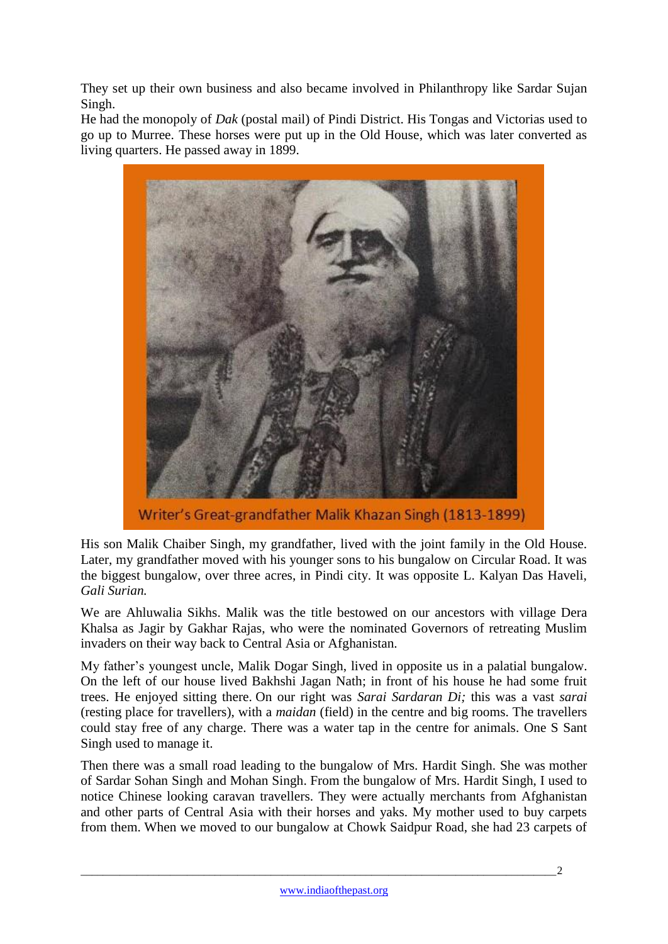They set up their own business and also became involved in Philanthropy like Sardar Sujan Singh.

He had the monopoly of *Dak* (postal mail) of Pindi District. His Tongas and Victorias used to go up to Murree. These horses were put up in the Old House, which was later converted as living quarters. He passed away in 1899.



Writer's Great-grandfather Malik Khazan Singh (1813-1899)

His son Malik Chaiber Singh, my grandfather, lived with the joint family in the Old House. Later, my grandfather moved with his younger sons to his bungalow on Circular Road. It was the biggest bungalow, over three acres, in Pindi city. It was opposite L. Kalyan Das Haveli, *Gali Surian.*

We are Ahluwalia Sikhs. Malik was the title bestowed on our ancestors with village Dera Khalsa as Jagir by Gakhar Rajas, who were the nominated Governors of retreating Muslim invaders on their way back to Central Asia or Afghanistan.

My father's youngest uncle, Malik Dogar Singh, lived in opposite us in a palatial bungalow. On the left of our house lived Bakhshi Jagan Nath; in front of his house he had some fruit trees. He enjoyed sitting there. On our right was *Sarai Sardaran Di;* this was a vast *sarai* (resting place for travellers), with a *maidan* (field) in the centre and big rooms. The travellers could stay free of any charge. There was a water tap in the centre for animals. One S Sant Singh used to manage it.

Then there was a small road leading to the bungalow of Mrs. Hardit Singh. She was mother of Sardar Sohan Singh and Mohan Singh. From the bungalow of Mrs. Hardit Singh, I used to notice Chinese looking caravan travellers. They were actually merchants from Afghanistan and other parts of Central Asia with their horses and yaks. My mother used to buy carpets from them. When we moved to our bungalow at Chowk Saidpur Road, she had 23 carpets of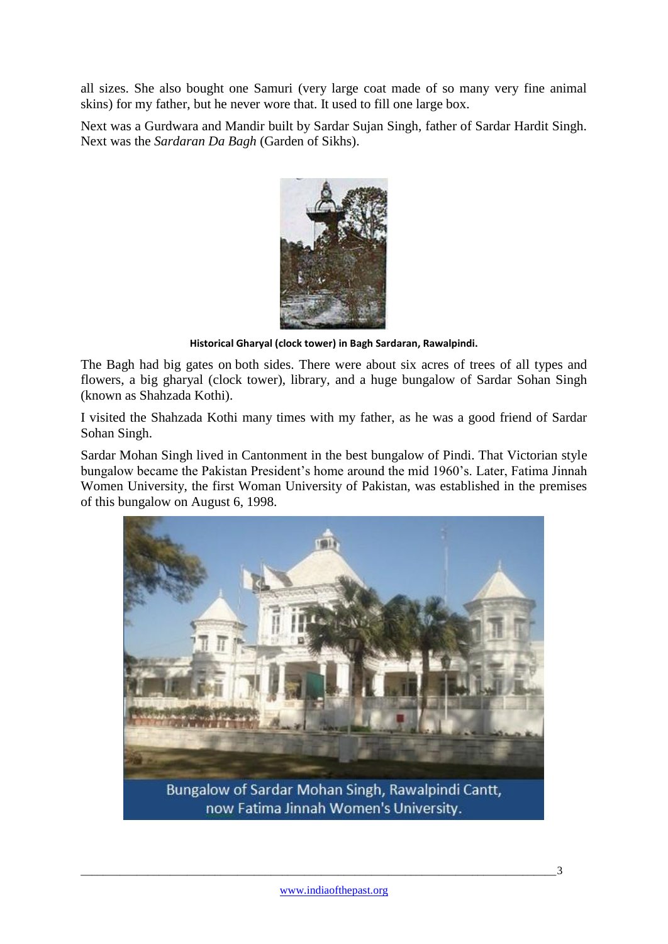all sizes. She also bought one Samuri (very large coat made of so many very fine animal skins) for my father, but he never wore that. It used to fill one large box.

Next was a Gurdwara and Mandir built by Sardar Sujan Singh, father of Sardar Hardit Singh. Next was the *Sardaran Da Bagh* (Garden of Sikhs).



**Historical Gharyal (clock tower) in Bagh Sardaran, Rawalpindi.**

The Bagh had big gates on both sides. There were about six acres of trees of all types and flowers, a big gharyal (clock tower), library, and a huge bungalow of Sardar Sohan Singh (known as Shahzada Kothi).

I visited the Shahzada Kothi many times with my father, as he was a good friend of Sardar Sohan Singh.

Sardar Mohan Singh lived in Cantonment in the best bungalow of Pindi. That Victorian style bungalow became the Pakistan President's home around the mid 1960's. Later, Fatima Jinnah Women University, the first Woman University of Pakistan, was established in the premises of this bungalow on August 6, 1998.

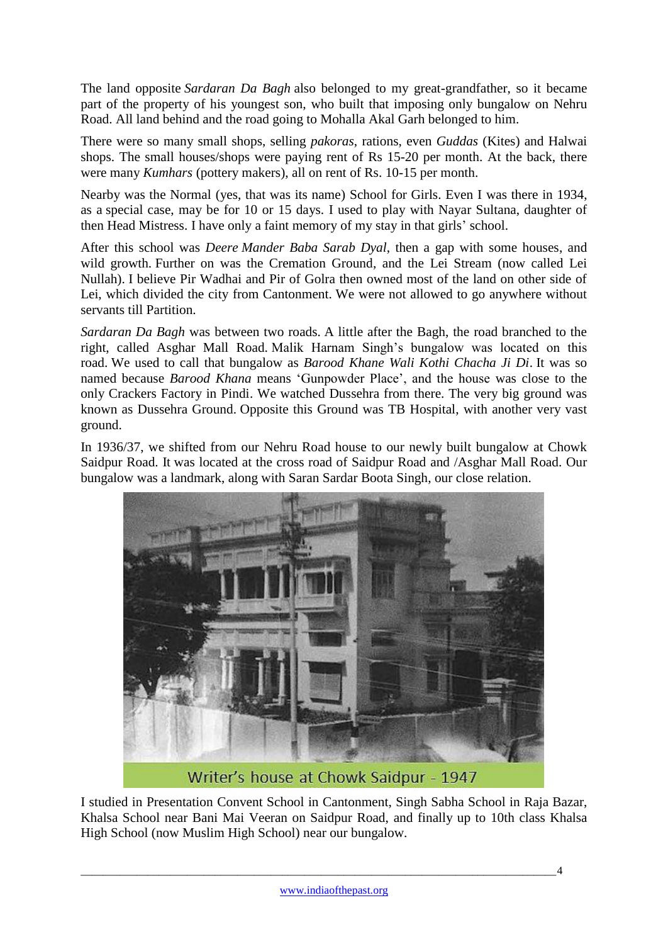The land opposite *Sardaran Da Bagh* also belonged to my great-grandfather, so it became part of the property of his youngest son, who built that imposing only bungalow on Nehru Road. All land behind and the road going to Mohalla Akal Garh belonged to him.

There were so many small shops, selling *pakoras*, rations, even *Guddas* (Kites) and Halwai shops. The small houses/shops were paying rent of Rs 15-20 per month. At the back, there were many *Kumhars* (pottery makers), all on rent of Rs. 10-15 per month.

Nearby was the Normal (yes, that was its name) School for Girls. Even I was there in 1934, as a special case, may be for 10 or 15 days. I used to play with Nayar Sultana, daughter of then Head Mistress. I have only a faint memory of my stay in that girls' school.

After this school was *Deere Mander Baba Sarab Dyal*, then a gap with some houses, and wild growth. Further on was the Cremation Ground, and the Lei Stream (now called Lei Nullah). I believe Pir Wadhai and Pir of Golra then owned most of the land on other side of Lei, which divided the city from Cantonment. We were not allowed to go anywhere without servants till Partition.

*Sardaran Da Bagh* was between two roads. A little after the Bagh, the road branched to the right, called Asghar Mall Road. Malik Harnam Singh's bungalow was located on this road. We used to call that bungalow as *Barood Khane Wali Kothi Chacha Ji Di*. It was so named because *Barood Khana* means 'Gunpowder Place', and the house was close to the only Crackers Factory in Pindi. We watched Dussehra from there. The very big ground was known as Dussehra Ground. Opposite this Ground was TB Hospital, with another very vast ground.

In 1936/37, we shifted from our Nehru Road house to our newly built bungalow at Chowk Saidpur Road. It was located at the cross road of Saidpur Road and /Asghar Mall Road. Our bungalow was a landmark, along with Saran Sardar Boota Singh, our close relation.



Writer's house at Chowk Saidpur - 1947

I studied in Presentation Convent School in Cantonment, Singh Sabha School in Raja Bazar, Khalsa School near Bani Mai Veeran on Saidpur Road, and finally up to 10th class Khalsa High School (now Muslim High School) near our bungalow.

\_\_\_\_\_\_\_\_\_\_\_\_\_\_\_\_\_\_\_\_\_\_\_\_\_\_\_\_\_\_\_\_\_\_\_\_\_\_\_\_\_\_\_\_\_\_\_\_\_\_\_\_\_\_\_\_\_\_\_\_\_\_\_\_\_\_\_\_\_\_\_\_\_\_\_\_\_\_\_\_\_\_\_\_\_4